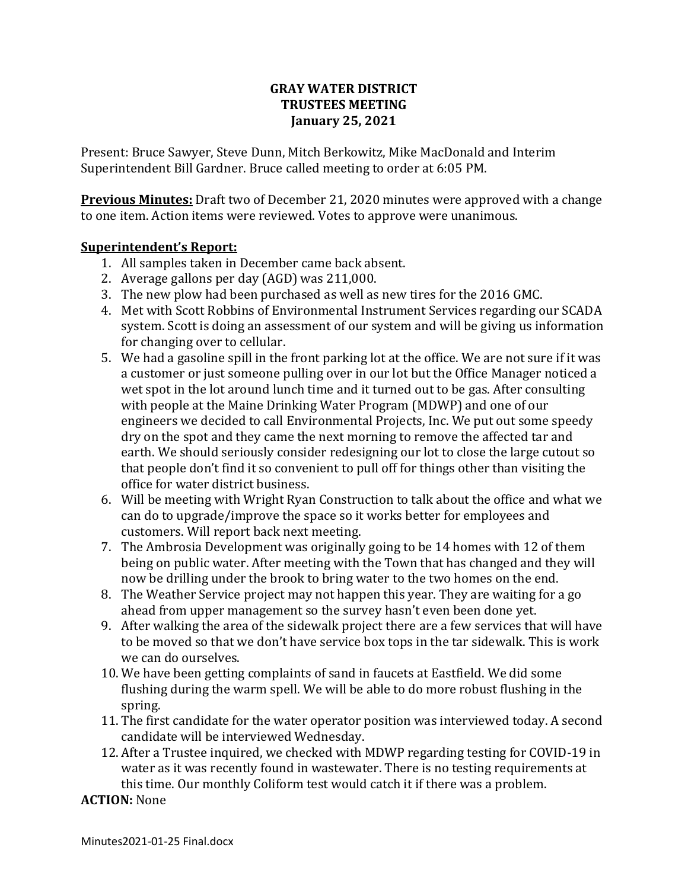#### **GRAY WATER DISTRICT TRUSTEES MEETING January 25, 2021**

Present: Bruce Sawyer, Steve Dunn, Mitch Berkowitz, Mike MacDonald and Interim Superintendent Bill Gardner. Bruce called meeting to order at 6:05 PM.

**Previous Minutes:** Draft two of December 21, 2020 minutes were approved with a change to one item. Action items were reviewed. Votes to approve were unanimous.

#### **Superintendent's Report:**

- 1. All samples taken in December came back absent.
- 2. Average gallons per day (AGD) was 211,000.
- 3. The new plow had been purchased as well as new tires for the 2016 GMC.
- 4. Met with Scott Robbins of Environmental Instrument Services regarding our SCADA system. Scott is doing an assessment of our system and will be giving us information for changing over to cellular.
- 5. We had a gasoline spill in the front parking lot at the office. We are not sure if it was a customer or just someone pulling over in our lot but the Office Manager noticed a wet spot in the lot around lunch time and it turned out to be gas. After consulting with people at the Maine Drinking Water Program (MDWP) and one of our engineers we decided to call Environmental Projects, Inc. We put out some speedy dry on the spot and they came the next morning to remove the affected tar and earth. We should seriously consider redesigning our lot to close the large cutout so that people don't find it so convenient to pull off for things other than visiting the office for water district business.
- 6. Will be meeting with Wright Ryan Construction to talk about the office and what we can do to upgrade/improve the space so it works better for employees and customers. Will report back next meeting.
- 7. The Ambrosia Development was originally going to be 14 homes with 12 of them being on public water. After meeting with the Town that has changed and they will now be drilling under the brook to bring water to the two homes on the end.
- 8. The Weather Service project may not happen this year. They are waiting for a go ahead from upper management so the survey hasn't even been done yet.
- 9. After walking the area of the sidewalk project there are a few services that will have to be moved so that we don't have service box tops in the tar sidewalk. This is work we can do ourselves.
- 10. We have been getting complaints of sand in faucets at Eastfield. We did some flushing during the warm spell. We will be able to do more robust flushing in the spring.
- 11. The first candidate for the water operator position was interviewed today. A second candidate will be interviewed Wednesday.
- 12. After a Trustee inquired, we checked with MDWP regarding testing for COVID-19 in water as it was recently found in wastewater. There is no testing requirements at this time. Our monthly Coliform test would catch it if there was a problem.

## **ACTION:** None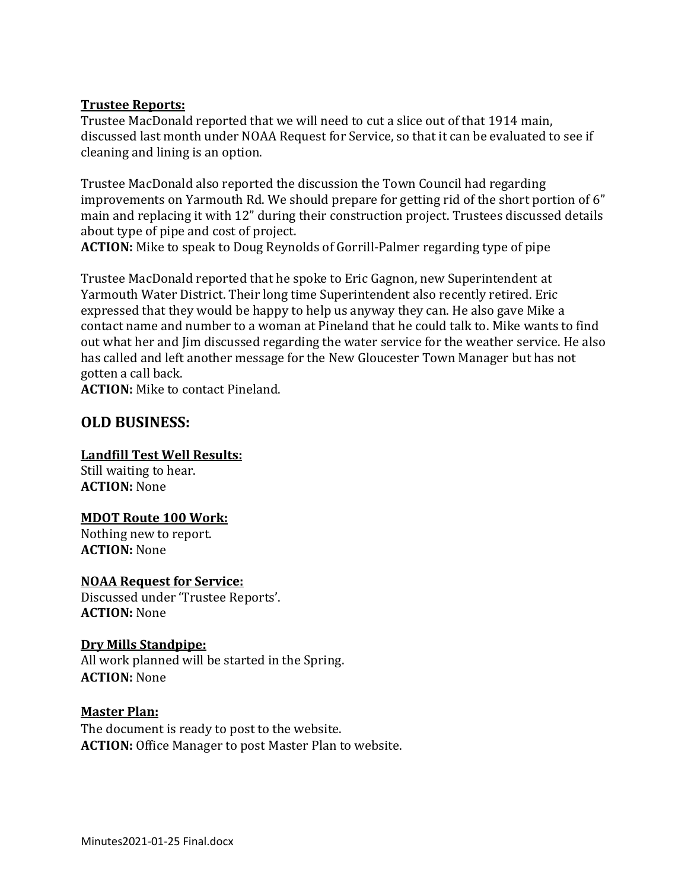#### **Trustee Reports:**

Trustee MacDonald reported that we will need to cut a slice out of that 1914 main, discussed last month under NOAA Request for Service, so that it can be evaluated to see if cleaning and lining is an option.

Trustee MacDonald also reported the discussion the Town Council had regarding improvements on Yarmouth Rd. We should prepare for getting rid of the short portion of 6" main and replacing it with 12" during their construction project. Trustees discussed details about type of pipe and cost of project.

**ACTION:** Mike to speak to Doug Reynolds of Gorrill-Palmer regarding type of pipe

Trustee MacDonald reported that he spoke to Eric Gagnon, new Superintendent at Yarmouth Water District. Their long time Superintendent also recently retired. Eric expressed that they would be happy to help us anyway they can. He also gave Mike a contact name and number to a woman at Pineland that he could talk to. Mike wants to find out what her and Jim discussed regarding the water service for the weather service. He also has called and left another message for the New Gloucester Town Manager but has not gotten a call back.

**ACTION:** Mike to contact Pineland.

## **OLD BUSINESS:**

## **Landfill Test Well Results:**

Still waiting to hear. **ACTION:** None

#### **MDOT Route 100 Work:**

Nothing new to report. **ACTION:** None

**NOAA Request for Service:** Discussed under 'Trustee Reports'. **ACTION:** None

#### **Dry Mills Standpipe:**

All work planned will be started in the Spring. **ACTION:** None

#### **Master Plan:**

The document is ready to post to the website. **ACTION:** Office Manager to post Master Plan to website.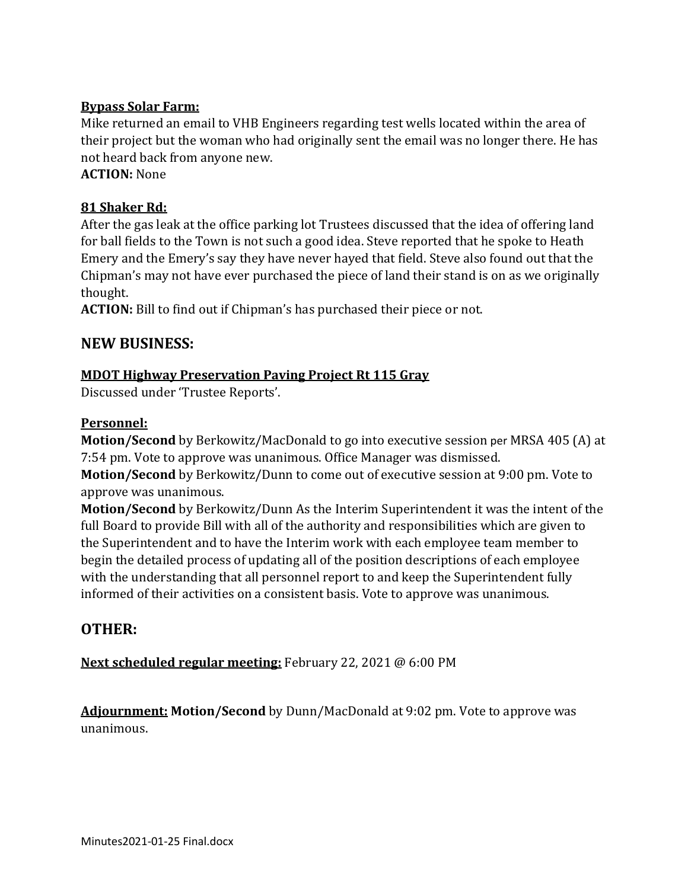## **Bypass Solar Farm:**

Mike returned an email to VHB Engineers regarding test wells located within the area of their project but the woman who had originally sent the email was no longer there. He has not heard back from anyone new.

**ACTION:** None

### **81 Shaker Rd:**

After the gas leak at the office parking lot Trustees discussed that the idea of offering land for ball fields to the Town is not such a good idea. Steve reported that he spoke to Heath Emery and the Emery's say they have never hayed that field. Steve also found out that the Chipman's may not have ever purchased the piece of land their stand is on as we originally thought.

**ACTION:** Bill to find out if Chipman's has purchased their piece or not.

## **NEW BUSINESS:**

## **MDOT Highway Preservation Paving Project Rt 115 Gray**

Discussed under 'Trustee Reports'.

#### **Personnel:**

**Motion/Second** by Berkowitz/MacDonald to go into executive session per MRSA 405 (A) at 7:54 pm. Vote to approve was unanimous. Office Manager was dismissed.

**Motion/Second** by Berkowitz/Dunn to come out of executive session at 9:00 pm. Vote to approve was unanimous.

**Motion/Second** by Berkowitz/Dunn As the Interim Superintendent it was the intent of the full Board to provide Bill with all of the authority and responsibilities which are given to the Superintendent and to have the Interim work with each employee team member to begin the detailed process of updating all of the position descriptions of each employee with the understanding that all personnel report to and keep the Superintendent fully informed of their activities on a consistent basis. Vote to approve was unanimous.

# **OTHER:**

**Next scheduled regular meeting:** February 22, 2021 @ 6:00 PM

**Adjournment: Motion/Second** by Dunn/MacDonald at 9:02 pm. Vote to approve was unanimous.